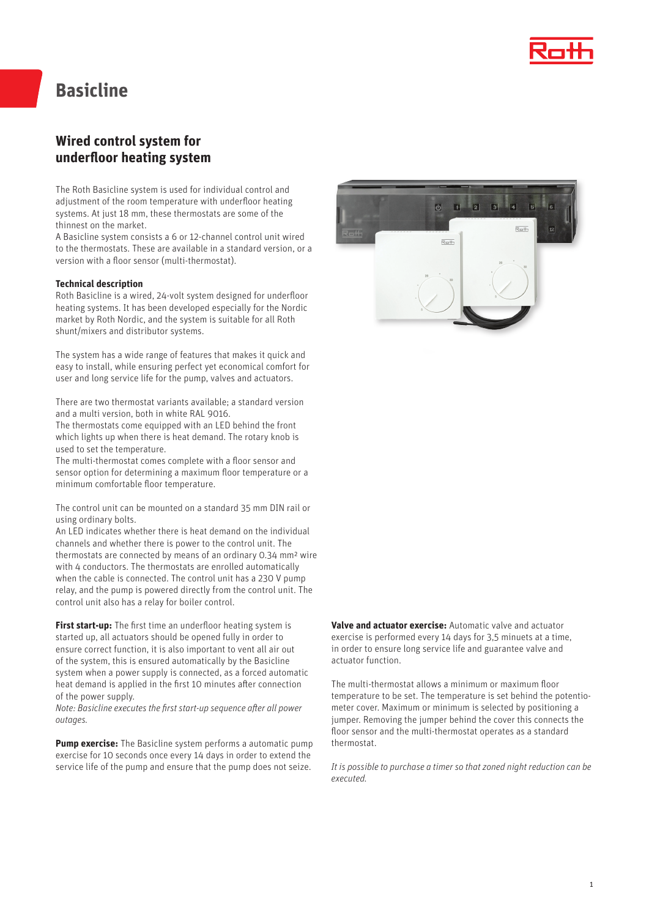

## **Basicline**

## **Wired control system for underfloor heating system**

The Roth Basicline system is used for individual control and adjustment of the room temperature with underfloor heating systems. At just 18 mm, these thermostats are some of the thinnest on the market.

A Basicline system consists a 6 or 12-channel control unit wired to the thermostats. These are available in a standard version, or a version with a floor sensor (multi-thermostat).

#### **Technical description**

Roth Basicline is a wired, 24-volt system designed for underfloor heating systems. It has been developed especially for the Nordic market by Roth Nordic, and the system is suitable for all Roth shunt/mixers and distributor systems.

The system has a wide range of features that makes it quick and easy to install, while ensuring perfect yet economical comfort for user and long service life for the pump, valves and actuators.

There are two thermostat variants available; a standard version and a multi version, both in white RAL 9016.

The thermostats come equipped with an LED behind the front which lights up when there is heat demand. The rotary knob is used to set the temperature.

The multi-thermostat comes complete with a floor sensor and sensor option for determining a maximum floor temperature or a minimum comfortable floor temperature.

The control unit can be mounted on a standard 35 mm DIN rail or using ordinary bolts.

An LED indicates whether there is heat demand on the individual channels and whether there is power to the control unit. The thermostats are connected by means of an ordinary 0.34 mm² wire with 4 conductors. The thermostats are enrolled automatically when the cable is connected. The control unit has a 230 V pump relay, and the pump is powered directly from the control unit. The control unit also has a relay for boiler control.

**First start-up:** The first time an underfloor heating system is started up, all actuators should be opened fully in order to ensure correct function, it is also important to vent all air out of the system, this is ensured automatically by the Basicline system when a power supply is connected, as a forced automatic heat demand is applied in the first 10 minutes after connection of the power supply.

*Note: Basicline executes the first start-up sequence after all power outages.*

**Pump exercise:** The Basicline system performs a automatic pump exercise for 10 seconds once every 14 days in order to extend the service life of the pump and ensure that the pump does not seize.



**Valve and actuator exercise:** Automatic valve and actuator exercise is performed every 14 days for 3,5 minuets at a time, in order to ensure long service life and guarantee valve and actuator function.

The multi-thermostat allows a minimum or maximum floor temperature to be set. The temperature is set behind the potentiometer cover. Maximum or minimum is selected by positioning a jumper. Removing the jumper behind the cover this connects the floor sensor and the multi-thermostat operates as a standard thermostat.

*It is possible to purchase a timer so that zoned night reduction can be executed.*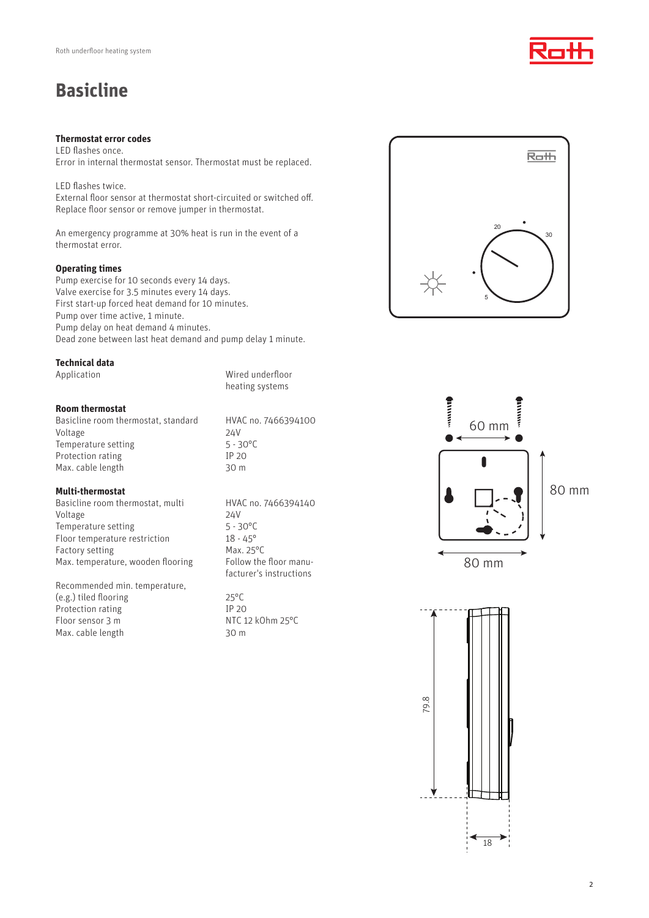# **Basicline**

### **Thermostat error codes**

LED flashes once. Error in internal thermostat sensor. Thermostat must be replaced.

LED flashes twice. External floor sensor at thermostat short-circuited or switched off. Replace floor sensor or remove jumper in thermostat.

An emergency programme at 30% heat is run in the event of a thermostat error.

## **Operating times**

Pump exercise for 10 seconds every 14 days. Valve exercise for 3.5 minutes every 14 days. First start-up forced heat demand for 10 minutes. Pump over time active, 1 minute. Pump delay on heat demand 4 minutes. Dead zone between last heat demand and pump delay 1 minute.

#### **Technical data**

Application **Mixture Wired underfloor** 

heating systems

## **Room thermostat**

Basicline room thermostat, standard HVAC no. 7466394100 Voltage 24V Temperature setting 5 - 30°C Protection rating IP 20 Max. cable length 30 m

## **Multi-thermostat**

Basicline room thermostat, multi HVAC no. 7466394140 Voltage 24V Temperature setting 5 - 30°C Floor temperature restriction 18 - 45° Factory setting Max. 25°C Max. temperature, wooden flooring Follow the floor manu-

Recommended min. temperature, (e.g.) tiled flooring 25°C Protection rating IP 20 Floor sensor 3 m NTC 12 kOhm 25°C Max. cable length 30 m

facturer's instructions